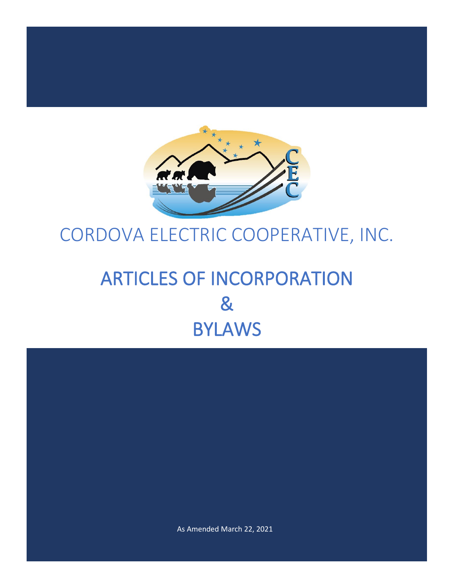

# CORDOVA ELECTRIC COOPERATIVE, INC.

# ARTICLES OF INCORPORATION & BYLAWS

As Amended March 22, 2021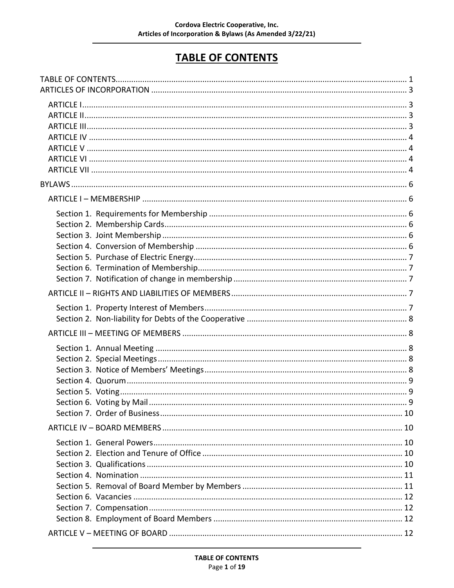# **TABLE OF CONTENTS**

<span id="page-1-0"></span>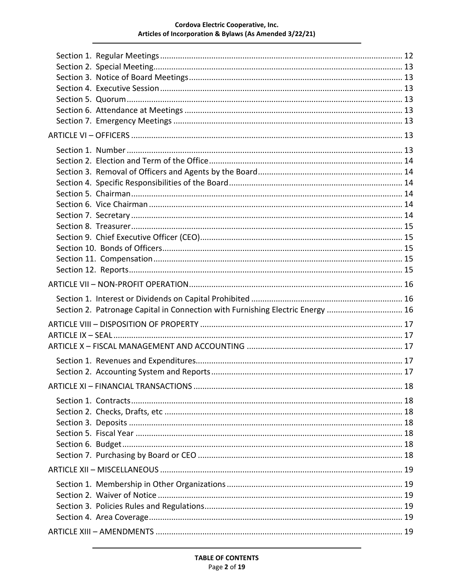#### Cordova Electric Cooperative, Inc. Articles of Incorporation & Bylaws (As Amended 3/22/21)

| Section 2. Patronage Capital in Connection with Furnishing Electric Energy  16 |  |
|--------------------------------------------------------------------------------|--|
|                                                                                |  |
|                                                                                |  |
|                                                                                |  |
|                                                                                |  |
|                                                                                |  |
|                                                                                |  |
|                                                                                |  |
|                                                                                |  |
|                                                                                |  |
|                                                                                |  |
|                                                                                |  |
|                                                                                |  |
|                                                                                |  |
|                                                                                |  |
|                                                                                |  |
|                                                                                |  |
|                                                                                |  |
|                                                                                |  |
|                                                                                |  |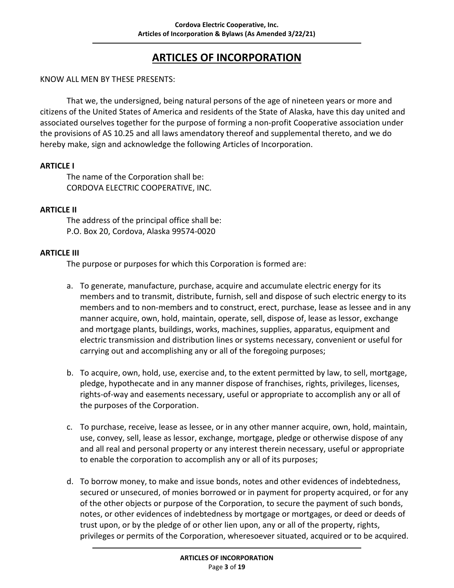# <span id="page-3-0"></span>**ARTICLES OF INCORPORATION**

#### KNOW ALL MEN BY THESE PRESENTS:

That we, the undersigned, being natural persons of the age of nineteen years or more and citizens of the United States of America and residents of the State of Alaska, have this day united and associated ourselves together for the purpose of forming a non-profit Cooperative association under the provisions of AS 10.25 and all laws amendatory thereof and supplemental thereto, and we do hereby make, sign and acknowledge the following Articles of Incorporation.

#### <span id="page-3-1"></span>**ARTICLE I**

The name of the Corporation shall be: CORDOVA ELECTRIC COOPERATIVE, INC.

#### <span id="page-3-2"></span>**ARTICLE II**

The address of the principal office shall be: P.O. Box 20, Cordova, Alaska 99574-0020

#### <span id="page-3-3"></span>**ARTICLE III**

The purpose or purposes for which this Corporation is formed are:

- a. To generate, manufacture, purchase, acquire and accumulate electric energy for its members and to transmit, distribute, furnish, sell and dispose of such electric energy to its members and to non-members and to construct, erect, purchase, lease as lessee and in any manner acquire, own, hold, maintain, operate, sell, dispose of, lease as lessor, exchange and mortgage plants, buildings, works, machines, supplies, apparatus, equipment and electric transmission and distribution lines or systems necessary, convenient or useful for carrying out and accomplishing any or all of the foregoing purposes;
- b. To acquire, own, hold, use, exercise and, to the extent permitted by law, to sell, mortgage, pledge, hypothecate and in any manner dispose of franchises, rights, privileges, licenses, rights-of-way and easements necessary, useful or appropriate to accomplish any or all of the purposes of the Corporation.
- c. To purchase, receive, lease as lessee, or in any other manner acquire, own, hold, maintain, use, convey, sell, lease as lessor, exchange, mortgage, pledge or otherwise dispose of any and all real and personal property or any interest therein necessary, useful or appropriate to enable the corporation to accomplish any or all of its purposes;
- d. To borrow money, to make and issue bonds, notes and other evidences of indebtedness, secured or unsecured, of monies borrowed or in payment for property acquired, or for any of the other objects or purpose of the Corporation, to secure the payment of such bonds, notes, or other evidences of indebtedness by mortgage or mortgages, or deed or deeds of trust upon, or by the pledge of or other lien upon, any or all of the property, rights, privileges or permits of the Corporation, wheresoever situated, acquired or to be acquired.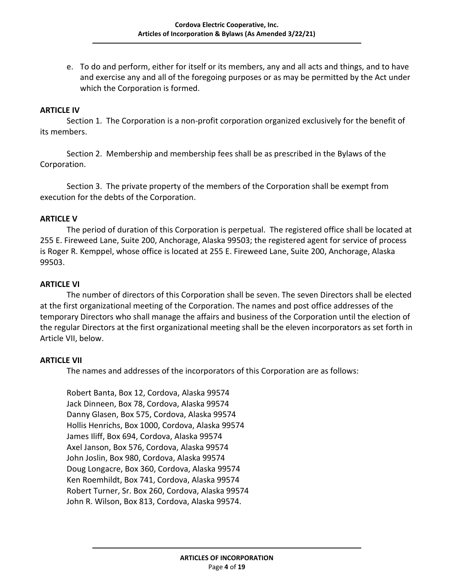e. To do and perform, either for itself or its members, any and all acts and things, and to have and exercise any and all of the foregoing purposes or as may be permitted by the Act under which the Corporation is formed.

#### <span id="page-4-0"></span>**ARTICLE IV**

Section 1. The Corporation is a non-profit corporation organized exclusively for the benefit of its members.

Section 2. Membership and membership fees shall be as prescribed in the Bylaws of the Corporation.

Section 3. The private property of the members of the Corporation shall be exempt from execution for the debts of the Corporation.

#### <span id="page-4-1"></span>**ARTICLE V**

The period of duration of this Corporation is perpetual. The registered office shall be located at 255 E. Fireweed Lane, Suite 200, Anchorage, Alaska 99503; the registered agent for service of process is Roger R. Kemppel, whose office is located at 255 E. Fireweed Lane, Suite 200, Anchorage, Alaska 99503.

#### <span id="page-4-2"></span>**ARTICLE VI**

The number of directors of this Corporation shall be seven. The seven Directors shall be elected at the first organizational meeting of the Corporation. The names and post office addresses of the temporary Directors who shall manage the affairs and business of the Corporation until the election of the regular Directors at the first organizational meeting shall be the eleven incorporators as set forth in Article VII, below.

#### <span id="page-4-3"></span>**ARTICLE VII**

The names and addresses of the incorporators of this Corporation are as follows:

Robert Banta, Box 12, Cordova, Alaska 99574 Jack Dinneen, Box 78, Cordova, Alaska 99574 Danny Glasen, Box 575, Cordova, Alaska 99574 Hollis Henrichs, Box 1000, Cordova, Alaska 99574 James Iliff, Box 694, Cordova, Alaska 99574 Axel Janson, Box 576, Cordova, Alaska 99574 John Joslin, Box 980, Cordova, Alaska 99574 Doug Longacre, Box 360, Cordova, Alaska 99574 Ken Roemhildt, Box 741, Cordova, Alaska 99574 Robert Turner, Sr. Box 260, Cordova, Alaska 99574 John R. Wilson, Box 813, Cordova, Alaska 99574.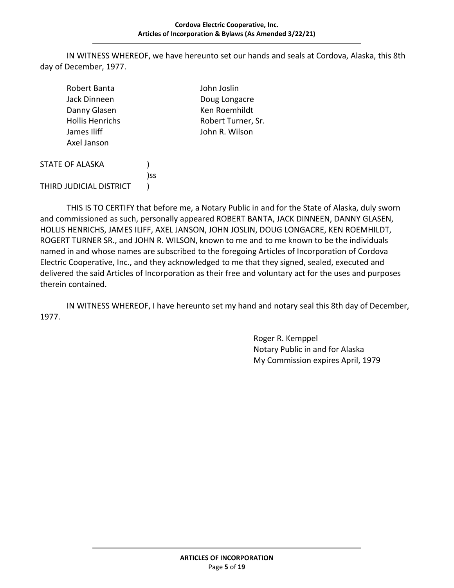#### **Cordova Electric Cooperative, Inc. Articles of Incorporation & Bylaws (As Amended 3/22/21)**

IN WITNESS WHEREOF, we have hereunto set our hands and seals at Cordova, Alaska, this 8th day of December, 1977.

| Robert Banta<br>Jack Dinneen<br>Danny Glasen<br><b>Hollis Henrichs</b><br>James Iliff<br>Axel Janson |     | John Joslin<br>Doug Longacre<br>Ken Roemhildt<br>Robert Turner, Sr.<br>John R. Wilson |
|------------------------------------------------------------------------------------------------------|-----|---------------------------------------------------------------------------------------|
| <b>STATE OF ALASKA</b>                                                                               |     |                                                                                       |
| THIRD JUDICIAL DISTRICT                                                                              | )ss |                                                                                       |

THIS IS TO CERTIFY that before me, a Notary Public in and for the State of Alaska, duly sworn and commissioned as such, personally appeared ROBERT BANTA, JACK DINNEEN, DANNY GLASEN, HOLLIS HENRICHS, JAMES ILIFF, AXEL JANSON, JOHN JOSLIN, DOUG LONGACRE, KEN ROEMHILDT, ROGERT TURNER SR., and JOHN R. WILSON, known to me and to me known to be the individuals named in and whose names are subscribed to the foregoing Articles of Incorporation of Cordova Electric Cooperative, Inc., and they acknowledged to me that they signed, sealed, executed and delivered the said Articles of Incorporation as their free and voluntary act for the uses and purposes therein contained.

IN WITNESS WHEREOF, I have hereunto set my hand and notary seal this 8th day of December, 1977.

> Roger R. Kemppel Notary Public in and for Alaska My Commission expires April, 1979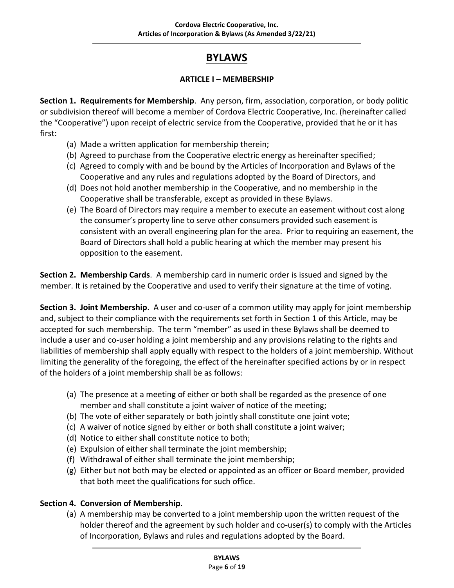# **BYLAWS**

## **ARTICLE I – MEMBERSHIP**

<span id="page-6-2"></span><span id="page-6-1"></span><span id="page-6-0"></span>**Section 1. Requirements for Membership**. Any person, firm, association, corporation, or body politic or subdivision thereof will become a member of Cordova Electric Cooperative, Inc. (hereinafter called the "Cooperative") upon receipt of electric service from the Cooperative, provided that he or it has first:

- (a) Made a written application for membership therein;
- (b) Agreed to purchase from the Cooperative electric energy as hereinafter specified;
- (c) Agreed to comply with and be bound by the Articles of Incorporation and Bylaws of the Cooperative and any rules and regulations adopted by the Board of Directors, and
- (d) Does not hold another membership in the Cooperative, and no membership in the Cooperative shall be transferable, except as provided in these Bylaws.
- (e) The Board of Directors may require a member to execute an easement without cost along the consumer's property line to serve other consumers provided such easement is consistent with an overall engineering plan for the area. Prior to requiring an easement, the Board of Directors shall hold a public hearing at which the member may present his opposition to the easement.

<span id="page-6-3"></span>**Section 2. Membership Cards**. A membership card in numeric order is issued and signed by the member. It is retained by the Cooperative and used to verify their signature at the time of voting.

<span id="page-6-4"></span>**Section 3. Joint Membership**. A user and co-user of a common utility may apply for joint membership and, subject to their compliance with the requirements set forth in Section 1 of this Article, may be accepted for such membership. The term "member" as used in these Bylaws shall be deemed to include a user and co-user holding a joint membership and any provisions relating to the rights and liabilities of membership shall apply equally with respect to the holders of a joint membership. Without limiting the generality of the foregoing, the effect of the hereinafter specified actions by or in respect of the holders of a joint membership shall be as follows:

- (a) The presence at a meeting of either or both shall be regarded as the presence of one member and shall constitute a joint waiver of notice of the meeting;
- (b) The vote of either separately or both jointly shall constitute one joint vote;
- (c) A waiver of notice signed by either or both shall constitute a joint waiver;
- (d) Notice to either shall constitute notice to both;
- (e) Expulsion of either shall terminate the joint membership;
- (f) Withdrawal of either shall terminate the joint membership;
- (g) Either but not both may be elected or appointed as an officer or Board member, provided that both meet the qualifications for such office.

# <span id="page-6-5"></span>**Section 4. Conversion of Membership**.

(a) A membership may be converted to a joint membership upon the written request of the holder thereof and the agreement by such holder and co-user(s) to comply with the Articles of Incorporation, Bylaws and rules and regulations adopted by the Board.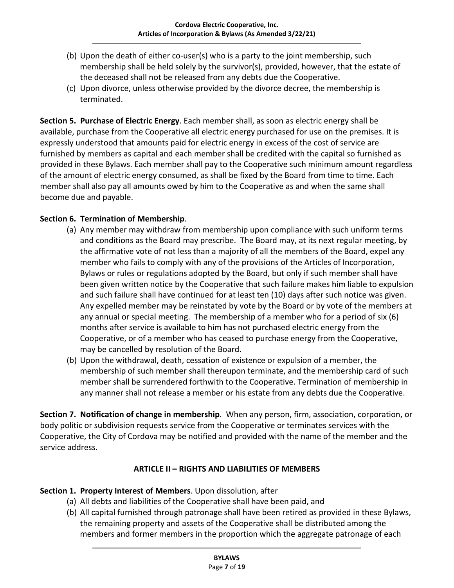- (b) Upon the death of either co-user(s) who is a party to the joint membership, such membership shall be held solely by the survivor(s), provided, however, that the estate of the deceased shall not be released from any debts due the Cooperative.
- (c) Upon divorce, unless otherwise provided by the divorce decree, the membership is terminated.

<span id="page-7-0"></span>**Section 5. Purchase of Electric Energy**. Each member shall, as soon as electric energy shall be available, purchase from the Cooperative all electric energy purchased for use on the premises. It is expressly understood that amounts paid for electric energy in excess of the cost of service are furnished by members as capital and each member shall be credited with the capital so furnished as provided in these Bylaws. Each member shall pay to the Cooperative such minimum amount regardless of the amount of electric energy consumed, as shall be fixed by the Board from time to time. Each member shall also pay all amounts owed by him to the Cooperative as and when the same shall become due and payable.

# <span id="page-7-1"></span>**Section 6. Termination of Membership**.

- (a) Any member may withdraw from membership upon compliance with such uniform terms and conditions as the Board may prescribe. The Board may, at its next regular meeting, by the affirmative vote of not less than a majority of all the members of the Board, expel any member who fails to comply with any of the provisions of the Articles of Incorporation, Bylaws or rules or regulations adopted by the Board, but only if such member shall have been given written notice by the Cooperative that such failure makes him liable to expulsion and such failure shall have continued for at least ten (10) days after such notice was given. Any expelled member may be reinstated by vote by the Board or by vote of the members at any annual or special meeting. The membership of a member who for a period of six (6) months after service is available to him has not purchased electric energy from the Cooperative, or of a member who has ceased to purchase energy from the Cooperative, may be cancelled by resolution of the Board.
- (b) Upon the withdrawal, death, cessation of existence or expulsion of a member, the membership of such member shall thereupon terminate, and the membership card of such member shall be surrendered forthwith to the Cooperative. Termination of membership in any manner shall not release a member or his estate from any debts due the Cooperative.

<span id="page-7-2"></span>**Section 7. Notification of change in membership**. When any person, firm, association, corporation, or body politic or subdivision requests service from the Cooperative or terminates services with the Cooperative, the City of Cordova may be notified and provided with the name of the member and the service address.

#### **ARTICLE II – RIGHTS AND LIABILITIES OF MEMBERS**

#### <span id="page-7-4"></span><span id="page-7-3"></span>**Section 1. Property Interest of Members**. Upon dissolution, after

- (a) All debts and liabilities of the Cooperative shall have been paid, and
- (b) All capital furnished through patronage shall have been retired as provided in these Bylaws, the remaining property and assets of the Cooperative shall be distributed among the members and former members in the proportion which the aggregate patronage of each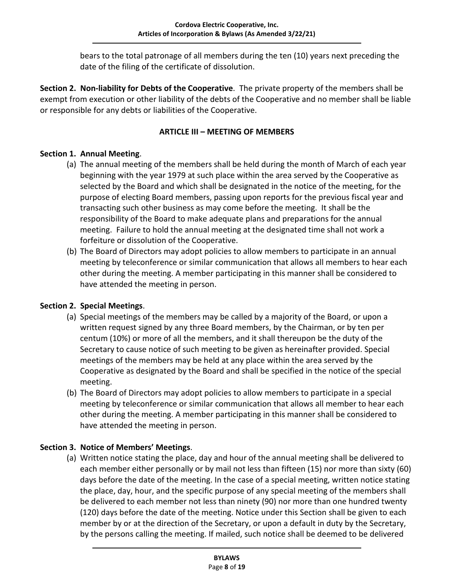bears to the total patronage of all members during the ten (10) years next preceding the date of the filing of the certificate of dissolution.

<span id="page-8-0"></span>**Section 2. Non-liability for Debts of the Cooperative**. The private property of the members shall be exempt from execution or other liability of the debts of the Cooperative and no member shall be liable or responsible for any debts or liabilities of the Cooperative.

#### **ARTICLE III – MEETING OF MEMBERS**

## <span id="page-8-2"></span><span id="page-8-1"></span>**Section 1. Annual Meeting**.

- (a) The annual meeting of the members shall be held during the month of March of each year beginning with the year 1979 at such place within the area served by the Cooperative as selected by the Board and which shall be designated in the notice of the meeting, for the purpose of electing Board members, passing upon reports for the previous fiscal year and transacting such other business as may come before the meeting. It shall be the responsibility of the Board to make adequate plans and preparations for the annual meeting. Failure to hold the annual meeting at the designated time shall not work a forfeiture or dissolution of the Cooperative.
- (b) The Board of Directors may adopt policies to allow members to participate in an annual meeting by teleconference or similar communication that allows all members to hear each other during the meeting. A member participating in this manner shall be considered to have attended the meeting in person.

# <span id="page-8-3"></span>**Section 2. Special Meetings**.

- (a) Special meetings of the members may be called by a majority of the Board, or upon a written request signed by any three Board members, by the Chairman, or by ten per centum (10%) or more of all the members, and it shall thereupon be the duty of the Secretary to cause notice of such meeting to be given as hereinafter provided. Special meetings of the members may be held at any place within the area served by the Cooperative as designated by the Board and shall be specified in the notice of the special meeting.
- (b) The Board of Directors may adopt policies to allow members to participate in a special meeting by teleconference or similar communication that allows all member to hear each other during the meeting. A member participating in this manner shall be considered to have attended the meeting in person.

# <span id="page-8-4"></span>**Section 3. Notice of Members' Meetings**.

(a) Written notice stating the place, day and hour of the annual meeting shall be delivered to each member either personally or by mail not less than fifteen (15) nor more than sixty (60) days before the date of the meeting. In the case of a special meeting, written notice stating the place, day, hour, and the specific purpose of any special meeting of the members shall be delivered to each member not less than ninety (90) nor more than one hundred twenty (120) days before the date of the meeting. Notice under this Section shall be given to each member by or at the direction of the Secretary, or upon a default in duty by the Secretary, by the persons calling the meeting. If mailed, such notice shall be deemed to be delivered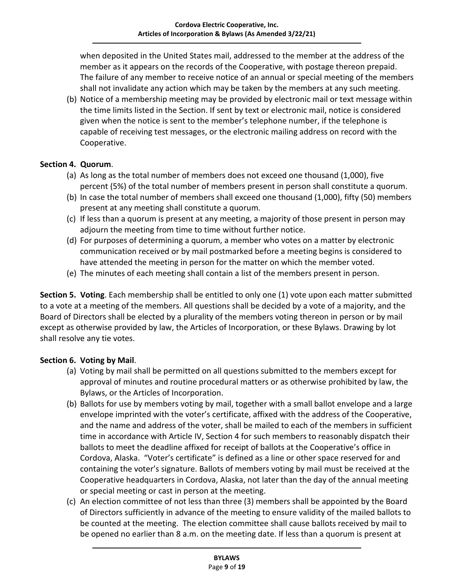when deposited in the United States mail, addressed to the member at the address of the member as it appears on the records of the Cooperative, with postage thereon prepaid. The failure of any member to receive notice of an annual or special meeting of the members shall not invalidate any action which may be taken by the members at any such meeting.

(b) Notice of a membership meeting may be provided by electronic mail or text message within the time limits listed in the Section. If sent by text or electronic mail, notice is considered given when the notice is sent to the member's telephone number, if the telephone is capable of receiving test messages, or the electronic mailing address on record with the Cooperative.

## <span id="page-9-0"></span>**Section 4. Quorum**.

- (a) As long as the total number of members does not exceed one thousand (1,000), five percent (5%) of the total number of members present in person shall constitute a quorum.
- (b) In case the total number of members shall exceed one thousand (1,000), fifty (50) members present at any meeting shall constitute a quorum.
- (c) If less than a quorum is present at any meeting, a majority of those present in person may adjourn the meeting from time to time without further notice.
- (d) For purposes of determining a quorum, a member who votes on a matter by electronic communication received or by mail postmarked before a meeting begins is considered to have attended the meeting in person for the matter on which the member voted.
- (e) The minutes of each meeting shall contain a list of the members present in person.

<span id="page-9-1"></span>**Section 5. Voting**. Each membership shall be entitled to only one (1) vote upon each matter submitted to a vote at a meeting of the members. All questions shall be decided by a vote of a majority, and the Board of Directors shall be elected by a plurality of the members voting thereon in person or by mail except as otherwise provided by law, the Articles of Incorporation, or these Bylaws. Drawing by lot shall resolve any tie votes.

#### <span id="page-9-2"></span>**Section 6. Voting by Mail**.

- (a) Voting by mail shall be permitted on all questions submitted to the members except for approval of minutes and routine procedural matters or as otherwise prohibited by law, the Bylaws, or the Articles of Incorporation.
- (b) Ballots for use by members voting by mail, together with a small ballot envelope and a large envelope imprinted with the voter's certificate, affixed with the address of the Cooperative, and the name and address of the voter, shall be mailed to each of the members in sufficient time in accordance with Article IV, Section 4 for such members to reasonably dispatch their ballots to meet the deadline affixed for receipt of ballots at the Cooperative's office in Cordova, Alaska. "Voter's certificate" is defined as a line or other space reserved for and containing the voter's signature. Ballots of members voting by mail must be received at the Cooperative headquarters in Cordova, Alaska, not later than the day of the annual meeting or special meeting or cast in person at the meeting.
- (c) An election committee of not less than three (3) members shall be appointed by the Board of Directors sufficiently in advance of the meeting to ensure validity of the mailed ballots to be counted at the meeting. The election committee shall cause ballots received by mail to be opened no earlier than 8 a.m. on the meeting date. If less than a quorum is present at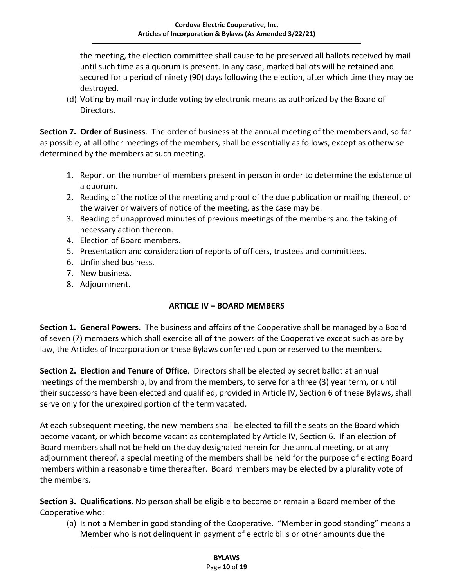the meeting, the election committee shall cause to be preserved all ballots received by mail until such time as a quorum is present. In any case, marked ballots will be retained and secured for a period of ninety (90) days following the election, after which time they may be destroyed.

(d) Voting by mail may include voting by electronic means as authorized by the Board of Directors.

<span id="page-10-0"></span>**Section 7. Order of Business**. The order of business at the annual meeting of the members and, so far as possible, at all other meetings of the members, shall be essentially as follows, except as otherwise determined by the members at such meeting.

- 1. Report on the number of members present in person in order to determine the existence of a quorum.
- 2. Reading of the notice of the meeting and proof of the due publication or mailing thereof, or the waiver or waivers of notice of the meeting, as the case may be.
- 3. Reading of unapproved minutes of previous meetings of the members and the taking of necessary action thereon.
- 4. Election of Board members.
- 5. Presentation and consideration of reports of officers, trustees and committees.
- 6. Unfinished business.
- 7. New business.
- 8. Adjournment.

#### **ARTICLE IV – BOARD MEMBERS**

<span id="page-10-2"></span><span id="page-10-1"></span>**Section 1. General Powers**. The business and affairs of the Cooperative shall be managed by a Board of seven (7) members which shall exercise all of the powers of the Cooperative except such as are by law, the Articles of Incorporation or these Bylaws conferred upon or reserved to the members.

<span id="page-10-3"></span>**Section 2. Election and Tenure of Office**. Directors shall be elected by secret ballot at annual meetings of the membership, by and from the members, to serve for a three (3) year term, or until their successors have been elected and qualified, provided in Article IV, Section 6 of these Bylaws, shall serve only for the unexpired portion of the term vacated.

At each subsequent meeting, the new members shall be elected to fill the seats on the Board which become vacant, or which become vacant as contemplated by Article IV, Section 6. If an election of Board members shall not be held on the day designated herein for the annual meeting, or at any adjournment thereof, a special meeting of the members shall be held for the purpose of electing Board members within a reasonable time thereafter. Board members may be elected by a plurality vote of the members.

<span id="page-10-4"></span>**Section 3. Qualifications**. No person shall be eligible to become or remain a Board member of the Cooperative who:

(a) Is not a Member in good standing of the Cooperative. "Member in good standing" means a Member who is not delinquent in payment of electric bills or other amounts due the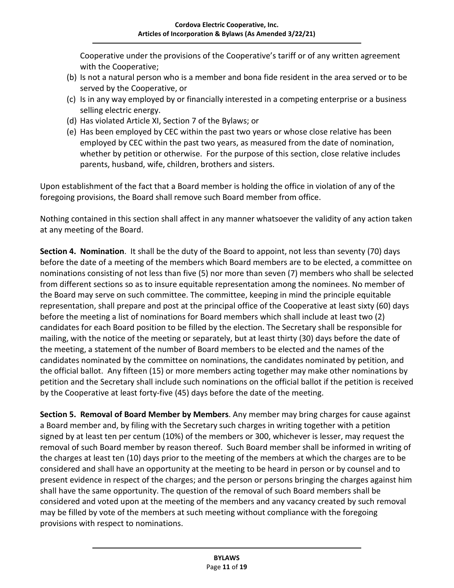Cooperative under the provisions of the Cooperative's tariff or of any written agreement with the Cooperative;

- (b) Is not a natural person who is a member and bona fide resident in the area served or to be served by the Cooperative, or
- (c) Is in any way employed by or financially interested in a competing enterprise or a business selling electric energy.
- (d) Has violated Article XI, Section 7 of the Bylaws; or
- (e) Has been employed by CEC within the past two years or whose close relative has been employed by CEC within the past two years, as measured from the date of nomination, whether by petition or otherwise. For the purpose of this section, close relative includes parents, husband, wife, children, brothers and sisters.

Upon establishment of the fact that a Board member is holding the office in violation of any of the foregoing provisions, the Board shall remove such Board member from office.

Nothing contained in this section shall affect in any manner whatsoever the validity of any action taken at any meeting of the Board.

<span id="page-11-0"></span>**Section 4. Nomination**. It shall be the duty of the Board to appoint, not less than seventy (70) days before the date of a meeting of the members which Board members are to be elected, a committee on nominations consisting of not less than five (5) nor more than seven (7) members who shall be selected from different sections so as to insure equitable representation among the nominees. No member of the Board may serve on such committee. The committee, keeping in mind the principle equitable representation, shall prepare and post at the principal office of the Cooperative at least sixty (60) days before the meeting a list of nominations for Board members which shall include at least two (2) candidates for each Board position to be filled by the election. The Secretary shall be responsible for mailing, with the notice of the meeting or separately, but at least thirty (30) days before the date of the meeting, a statement of the number of Board members to be elected and the names of the candidates nominated by the committee on nominations, the candidates nominated by petition, and the official ballot. Any fifteen (15) or more members acting together may make other nominations by petition and the Secretary shall include such nominations on the official ballot if the petition is received by the Cooperative at least forty-five (45) days before the date of the meeting.

<span id="page-11-1"></span>**Section 5. Removal of Board Member by Members**. Any member may bring charges for cause against a Board member and, by filing with the Secretary such charges in writing together with a petition signed by at least ten per centum (10%) of the members or 300, whichever is lesser, may request the removal of such Board member by reason thereof. Such Board member shall be informed in writing of the charges at least ten (10) days prior to the meeting of the members at which the charges are to be considered and shall have an opportunity at the meeting to be heard in person or by counsel and to present evidence in respect of the charges; and the person or persons bringing the charges against him shall have the same opportunity. The question of the removal of such Board members shall be considered and voted upon at the meeting of the members and any vacancy created by such removal may be filled by vote of the members at such meeting without compliance with the foregoing provisions with respect to nominations.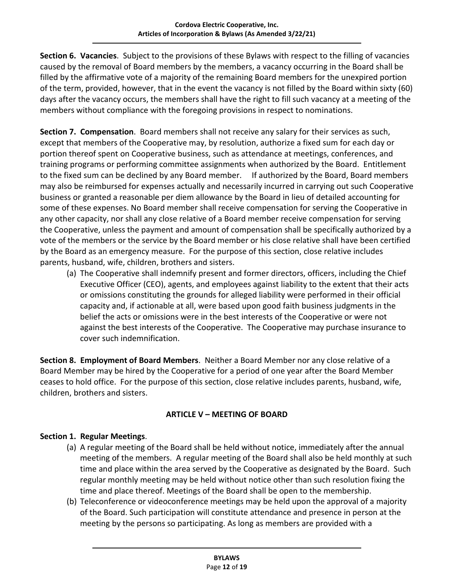<span id="page-12-0"></span>**Section 6. Vacancies**. Subject to the provisions of these Bylaws with respect to the filling of vacancies caused by the removal of Board members by the members, a vacancy occurring in the Board shall be filled by the affirmative vote of a majority of the remaining Board members for the unexpired portion of the term, provided, however, that in the event the vacancy is not filled by the Board within sixty (60) days after the vacancy occurs, the members shall have the right to fill such vacancy at a meeting of the members without compliance with the foregoing provisions in respect to nominations.

<span id="page-12-1"></span>**Section 7. Compensation**. Board members shall not receive any salary for their services as such, except that members of the Cooperative may, by resolution, authorize a fixed sum for each day or portion thereof spent on Cooperative business, such as attendance at meetings, conferences, and training programs or performing committee assignments when authorized by the Board. Entitlement to the fixed sum can be declined by any Board member. If authorized by the Board, Board members may also be reimbursed for expenses actually and necessarily incurred in carrying out such Cooperative business or granted a reasonable per diem allowance by the Board in lieu of detailed accounting for some of these expenses. No Board member shall receive compensation for serving the Cooperative in any other capacity, nor shall any close relative of a Board member receive compensation for serving the Cooperative, unless the payment and amount of compensation shall be specifically authorized by a vote of the members or the service by the Board member or his close relative shall have been certified by the Board as an emergency measure. For the purpose of this section, close relative includes parents, husband, wife, children, brothers and sisters.

(a) The Cooperative shall indemnify present and former directors, officers, including the Chief Executive Officer (CEO), agents, and employees against liability to the extent that their acts or omissions constituting the grounds for alleged liability were performed in their official capacity and, if actionable at all, were based upon good faith business judgments in the belief the acts or omissions were in the best interests of the Cooperative or were not against the best interests of the Cooperative. The Cooperative may purchase insurance to cover such indemnification.

<span id="page-12-2"></span>**Section 8. Employment of Board Members**. Neither a Board Member nor any close relative of a Board Member may be hired by the Cooperative for a period of one year after the Board Member ceases to hold office. For the purpose of this section, close relative includes parents, husband, wife, children, brothers and sisters.

# **ARTICLE V – MEETING OF BOARD**

#### <span id="page-12-4"></span><span id="page-12-3"></span>**Section 1. Regular Meetings**.

- (a) A regular meeting of the Board shall be held without notice, immediately after the annual meeting of the members. A regular meeting of the Board shall also be held monthly at such time and place within the area served by the Cooperative as designated by the Board. Such regular monthly meeting may be held without notice other than such resolution fixing the time and place thereof. Meetings of the Board shall be open to the membership.
- (b) Teleconference or videoconference meetings may be held upon the approval of a majority of the Board. Such participation will constitute attendance and presence in person at the meeting by the persons so participating. As long as members are provided with a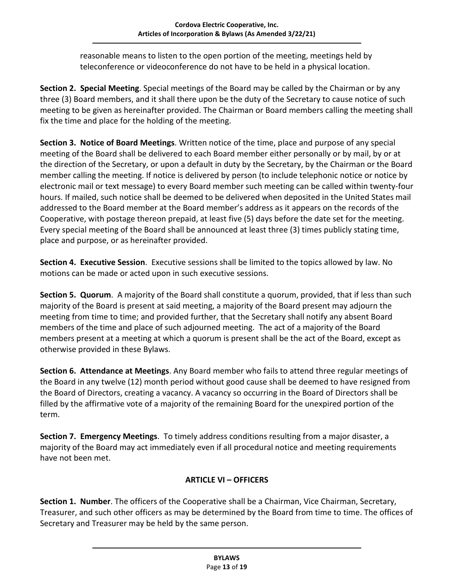reasonable means to listen to the open portion of the meeting, meetings held by teleconference or videoconference do not have to be held in a physical location.

<span id="page-13-0"></span>**Section 2. Special Meeting**. Special meetings of the Board may be called by the Chairman or by any three (3) Board members, and it shall there upon be the duty of the Secretary to cause notice of such meeting to be given as hereinafter provided. The Chairman or Board members calling the meeting shall fix the time and place for the holding of the meeting.

<span id="page-13-1"></span>**Section 3. Notice of Board Meetings**. Written notice of the time, place and purpose of any special meeting of the Board shall be delivered to each Board member either personally or by mail, by or at the direction of the Secretary, or upon a default in duty by the Secretary, by the Chairman or the Board member calling the meeting. If notice is delivered by person (to include telephonic notice or notice by electronic mail or text message) to every Board member such meeting can be called within twenty-four hours. If mailed, such notice shall be deemed to be delivered when deposited in the United States mail addressed to the Board member at the Board member's address as it appears on the records of the Cooperative, with postage thereon prepaid, at least five (5) days before the date set for the meeting. Every special meeting of the Board shall be announced at least three (3) times publicly stating time, place and purpose, or as hereinafter provided.

<span id="page-13-2"></span>**Section 4. Executive Session**. Executive sessions shall be limited to the topics allowed by law. No motions can be made or acted upon in such executive sessions.

<span id="page-13-3"></span>**Section 5. Quorum**. A majority of the Board shall constitute a quorum, provided, that if less than such majority of the Board is present at said meeting, a majority of the Board present may adjourn the meeting from time to time; and provided further, that the Secretary shall notify any absent Board members of the time and place of such adjourned meeting. The act of a majority of the Board members present at a meeting at which a quorum is present shall be the act of the Board, except as otherwise provided in these Bylaws.

<span id="page-13-4"></span>**Section 6. Attendance at Meetings**. Any Board member who fails to attend three regular meetings of the Board in any twelve (12) month period without good cause shall be deemed to have resigned from the Board of Directors, creating a vacancy. A vacancy so occurring in the Board of Directors shall be filled by the affirmative vote of a majority of the remaining Board for the unexpired portion of the term.

<span id="page-13-5"></span>**Section 7. Emergency Meetings**. To timely address conditions resulting from a major disaster, a majority of the Board may act immediately even if all procedural notice and meeting requirements have not been met.

# **ARTICLE VI – OFFICERS**

<span id="page-13-7"></span><span id="page-13-6"></span>**Section 1. Number**. The officers of the Cooperative shall be a Chairman, Vice Chairman, Secretary, Treasurer, and such other officers as may be determined by the Board from time to time. The offices of Secretary and Treasurer may be held by the same person.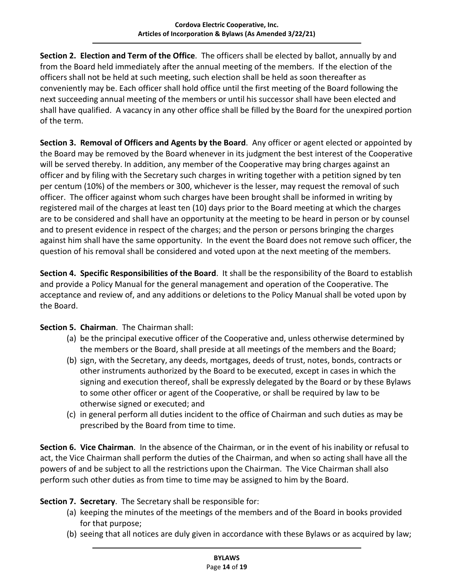<span id="page-14-0"></span>**Section 2. Election and Term of the Office**. The officers shall be elected by ballot, annually by and from the Board held immediately after the annual meeting of the members. If the election of the officers shall not be held at such meeting, such election shall be held as soon thereafter as conveniently may be. Each officer shall hold office until the first meeting of the Board following the next succeeding annual meeting of the members or until his successor shall have been elected and shall have qualified. A vacancy in any other office shall be filled by the Board for the unexpired portion of the term.

<span id="page-14-1"></span>**Section 3. Removal of Officers and Agents by the Board**. Any officer or agent elected or appointed by the Board may be removed by the Board whenever in its judgment the best interest of the Cooperative will be served thereby. In addition, any member of the Cooperative may bring charges against an officer and by filing with the Secretary such charges in writing together with a petition signed by ten per centum (10%) of the members or 300, whichever is the lesser, may request the removal of such officer. The officer against whom such charges have been brought shall be informed in writing by registered mail of the charges at least ten (10) days prior to the Board meeting at which the charges are to be considered and shall have an opportunity at the meeting to be heard in person or by counsel and to present evidence in respect of the charges; and the person or persons bringing the charges against him shall have the same opportunity. In the event the Board does not remove such officer, the question of his removal shall be considered and voted upon at the next meeting of the members.

<span id="page-14-2"></span>**Section 4. Specific Responsibilities of the Board**. It shall be the responsibility of the Board to establish and provide a Policy Manual for the general management and operation of the Cooperative. The acceptance and review of, and any additions or deletions to the Policy Manual shall be voted upon by the Board.

<span id="page-14-3"></span>**Section 5. Chairman**. The Chairman shall:

- (a) be the principal executive officer of the Cooperative and, unless otherwise determined by the members or the Board, shall preside at all meetings of the members and the Board;
- (b) sign, with the Secretary, any deeds, mortgages, deeds of trust, notes, bonds, contracts or other instruments authorized by the Board to be executed, except in cases in which the signing and execution thereof, shall be expressly delegated by the Board or by these Bylaws to some other officer or agent of the Cooperative, or shall be required by law to be otherwise signed or executed; and
- (c) in general perform all duties incident to the office of Chairman and such duties as may be prescribed by the Board from time to time.

<span id="page-14-4"></span>**Section 6. Vice Chairman**. In the absence of the Chairman, or in the event of his inability or refusal to act, the Vice Chairman shall perform the duties of the Chairman, and when so acting shall have all the powers of and be subject to all the restrictions upon the Chairman. The Vice Chairman shall also perform such other duties as from time to time may be assigned to him by the Board.

<span id="page-14-5"></span>**Section 7. Secretary**. The Secretary shall be responsible for:

- (a) keeping the minutes of the meetings of the members and of the Board in books provided for that purpose;
- (b) seeing that all notices are duly given in accordance with these Bylaws or as acquired by law;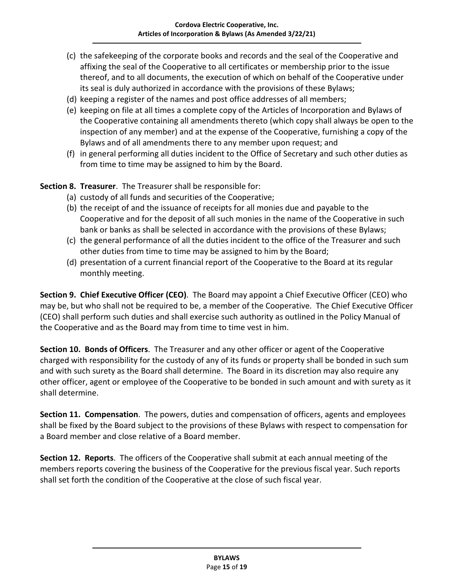- (c) the safekeeping of the corporate books and records and the seal of the Cooperative and affixing the seal of the Cooperative to all certificates or membership prior to the issue thereof, and to all documents, the execution of which on behalf of the Cooperative under its seal is duly authorized in accordance with the provisions of these Bylaws;
- (d) keeping a register of the names and post office addresses of all members;
- (e) keeping on file at all times a complete copy of the Articles of Incorporation and Bylaws of the Cooperative containing all amendments thereto (which copy shall always be open to the inspection of any member) and at the expense of the Cooperative, furnishing a copy of the Bylaws and of all amendments there to any member upon request; and
- (f) in general performing all duties incident to the Office of Secretary and such other duties as from time to time may be assigned to him by the Board.

<span id="page-15-0"></span>**Section 8. Treasurer**. The Treasurer shall be responsible for:

- (a) custody of all funds and securities of the Cooperative;
- (b) the receipt of and the issuance of receipts for all monies due and payable to the Cooperative and for the deposit of all such monies in the name of the Cooperative in such bank or banks as shall be selected in accordance with the provisions of these Bylaws;
- (c) the general performance of all the duties incident to the office of the Treasurer and such other duties from time to time may be assigned to him by the Board;
- (d) presentation of a current financial report of the Cooperative to the Board at its regular monthly meeting.

<span id="page-15-1"></span>**Section 9. Chief Executive Officer (CEO)**. The Board may appoint a Chief Executive Officer (CEO) who may be, but who shall not be required to be, a member of the Cooperative. The Chief Executive Officer (CEO) shall perform such duties and shall exercise such authority as outlined in the Policy Manual of the Cooperative and as the Board may from time to time vest in him.

<span id="page-15-2"></span>**Section 10. Bonds of Officers**. The Treasurer and any other officer or agent of the Cooperative charged with responsibility for the custody of any of its funds or property shall be bonded in such sum and with such surety as the Board shall determine. The Board in its discretion may also require any other officer, agent or employee of the Cooperative to be bonded in such amount and with surety as it shall determine.

<span id="page-15-3"></span>**Section 11. Compensation**. The powers, duties and compensation of officers, agents and employees shall be fixed by the Board subject to the provisions of these Bylaws with respect to compensation for a Board member and close relative of a Board member.

<span id="page-15-4"></span>**Section 12. Reports**. The officers of the Cooperative shall submit at each annual meeting of the members reports covering the business of the Cooperative for the previous fiscal year. Such reports shall set forth the condition of the Cooperative at the close of such fiscal year.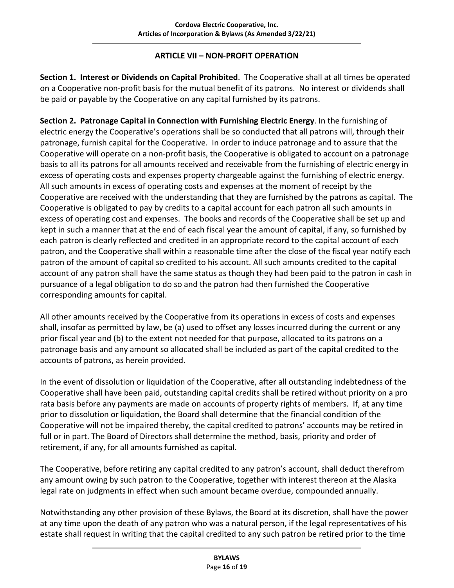#### **ARTICLE VII – NON-PROFIT OPERATION**

<span id="page-16-1"></span><span id="page-16-0"></span>**Section 1. Interest or Dividends on Capital Prohibited**. The Cooperative shall at all times be operated on a Cooperative non-profit basis for the mutual benefit of its patrons. No interest or dividends shall be paid or payable by the Cooperative on any capital furnished by its patrons.

<span id="page-16-2"></span>**Section 2. Patronage Capital in Connection with Furnishing Electric Energy**. In the furnishing of electric energy the Cooperative's operations shall be so conducted that all patrons will, through their patronage, furnish capital for the Cooperative. In order to induce patronage and to assure that the Cooperative will operate on a non-profit basis, the Cooperative is obligated to account on a patronage basis to all its patrons for all amounts received and receivable from the furnishing of electric energy in excess of operating costs and expenses property chargeable against the furnishing of electric energy. All such amounts in excess of operating costs and expenses at the moment of receipt by the Cooperative are received with the understanding that they are furnished by the patrons as capital. The Cooperative is obligated to pay by credits to a capital account for each patron all such amounts in excess of operating cost and expenses. The books and records of the Cooperative shall be set up and kept in such a manner that at the end of each fiscal year the amount of capital, if any, so furnished by each patron is clearly reflected and credited in an appropriate record to the capital account of each patron, and the Cooperative shall within a reasonable time after the close of the fiscal year notify each patron of the amount of capital so credited to his account. All such amounts credited to the capital account of any patron shall have the same status as though they had been paid to the patron in cash in pursuance of a legal obligation to do so and the patron had then furnished the Cooperative corresponding amounts for capital.

All other amounts received by the Cooperative from its operations in excess of costs and expenses shall, insofar as permitted by law, be (a) used to offset any losses incurred during the current or any prior fiscal year and (b) to the extent not needed for that purpose, allocated to its patrons on a patronage basis and any amount so allocated shall be included as part of the capital credited to the accounts of patrons, as herein provided.

In the event of dissolution or liquidation of the Cooperative, after all outstanding indebtedness of the Cooperative shall have been paid, outstanding capital credits shall be retired without priority on a pro rata basis before any payments are made on accounts of property rights of members. If, at any time prior to dissolution or liquidation, the Board shall determine that the financial condition of the Cooperative will not be impaired thereby, the capital credited to patrons' accounts may be retired in full or in part. The Board of Directors shall determine the method, basis, priority and order of retirement, if any, for all amounts furnished as capital.

The Cooperative, before retiring any capital credited to any patron's account, shall deduct therefrom any amount owing by such patron to the Cooperative, together with interest thereon at the Alaska legal rate on judgments in effect when such amount became overdue, compounded annually.

Notwithstanding any other provision of these Bylaws, the Board at its discretion, shall have the power at any time upon the death of any patron who was a natural person, if the legal representatives of his estate shall request in writing that the capital credited to any such patron be retired prior to the time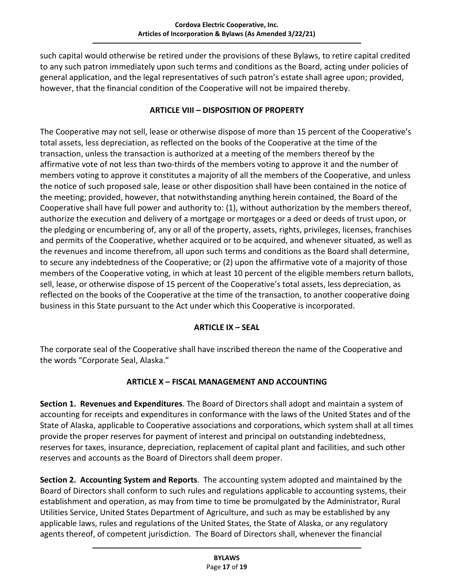such capital would otherwise be retired under the provisions of these Bylaws, to retire capital credited to any such patron immediately upon such terms and conditions as the Board, acting under policies of general application, and the legal representatives of such patron's estate shall agree upon; provided, however, that the financial condition of the Cooperative will not be impaired thereby.

#### **ARTICLE VIII – DISPOSITION OF PROPERTY**

<span id="page-17-0"></span>The Cooperative may not sell, lease or otherwise dispose of more than 15 percent of the Cooperative's total assets, less depreciation, as reflected on the books of the Cooperative at the time of the transaction, unless the transaction is authorized at a meeting of the members thereof by the affirmative vote of not less than two-thirds of the members voting to approve it and the number of members voting to approve it constitutes a majority of all the members of the Cooperative, and unless the notice of such proposed sale, lease or other disposition shall have been contained in the notice of the meeting; provided, however, that notwithstanding anything herein contained, the Board of the Cooperative shall have full power and authority to: (1), without authorization by the members thereof, authorize the execution and delivery of a mortgage or mortgages or a deed or deeds of trust upon, or the pledging or encumbering of, any or all of the property, assets, rights, privileges, licenses, franchises and permits of the Cooperative, whether acquired or to be acquired, and whenever situated, as well as the revenues and income therefrom, all upon such terms and conditions as the Board shall determine, to secure any indebtedness of the Cooperative; or (2) upon the affirmative vote of a majority of those members of the Cooperative voting, in which at least 10 percent of the eligible members return ballots, sell, lease, or otherwise dispose of 15 percent of the Cooperative's total assets, less depreciation, as reflected on the books of the Cooperative at the time of the transaction, to another cooperative doing business in this State pursuant to the Act under which this Cooperative is incorporated.

# **ARTICLE IX – SEAL**

<span id="page-17-1"></span>The corporate seal of the Cooperative shall have inscribed thereon the name of the Cooperative and the words "Corporate Seal, Alaska."

# **ARTICLE X – FISCAL MANAGEMENT AND ACCOUNTING**

<span id="page-17-3"></span><span id="page-17-2"></span>**Section 1. Revenues and Expenditures**. The Board of Directors shall adopt and maintain a system of accounting for receipts and expenditures in conformance with the laws of the United States and of the State of Alaska, applicable to Cooperative associations and corporations, which system shall at all times provide the proper reserves for payment of interest and principal on outstanding indebtedness, reserves for taxes, insurance, depreciation, replacement of capital plant and facilities, and such other reserves and accounts as the Board of Directors shall deem proper.

<span id="page-17-4"></span>**Section 2. Accounting System and Reports**. The accounting system adopted and maintained by the Board of Directors shall conform to such rules and regulations applicable to accounting systems, their establishment and operation, as may from time to time be promulgated by the Administrator, Rural Utilities Service, United States Department of Agriculture, and such as may be established by any applicable laws, rules and regulations of the United States, the State of Alaska, or any regulatory agents thereof, of competent jurisdiction. The Board of Directors shall, whenever the financial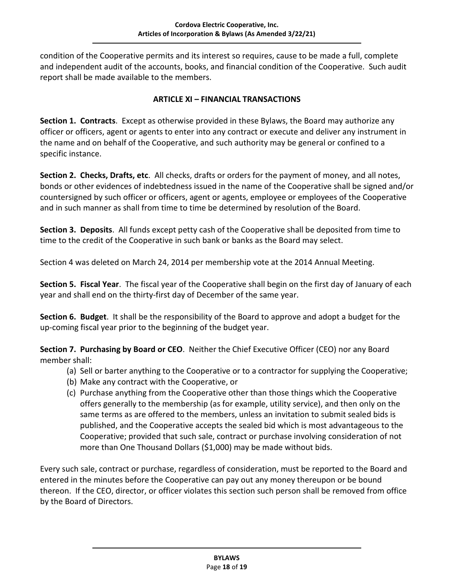condition of the Cooperative permits and its interest so requires, cause to be made a full, complete and independent audit of the accounts, books, and financial condition of the Cooperative. Such audit report shall be made available to the members.

#### **ARTICLE XI – FINANCIAL TRANSACTIONS**

<span id="page-18-1"></span><span id="page-18-0"></span>**Section 1. Contracts**. Except as otherwise provided in these Bylaws, the Board may authorize any officer or officers, agent or agents to enter into any contract or execute and deliver any instrument in the name and on behalf of the Cooperative, and such authority may be general or confined to a specific instance.

<span id="page-18-2"></span>**Section 2. Checks, Drafts, etc**. All checks, drafts or orders for the payment of money, and all notes, bonds or other evidences of indebtedness issued in the name of the Cooperative shall be signed and/or countersigned by such officer or officers, agent or agents, employee or employees of the Cooperative and in such manner as shall from time to time be determined by resolution of the Board.

<span id="page-18-3"></span>**Section 3. Deposits**. All funds except petty cash of the Cooperative shall be deposited from time to time to the credit of the Cooperative in such bank or banks as the Board may select.

Section 4 was deleted on March 24, 2014 per membership vote at the 2014 Annual Meeting.

<span id="page-18-4"></span>**Section 5. Fiscal Year**. The fiscal year of the Cooperative shall begin on the first day of January of each year and shall end on the thirty-first day of December of the same year.

<span id="page-18-5"></span>**Section 6. Budget**. It shall be the responsibility of the Board to approve and adopt a budget for the up-coming fiscal year prior to the beginning of the budget year.

<span id="page-18-6"></span>**Section 7. Purchasing by Board or CEO**. Neither the Chief Executive Officer (CEO) nor any Board member shall:

- (a) Sell or barter anything to the Cooperative or to a contractor for supplying the Cooperative;
- (b) Make any contract with the Cooperative, or
- (c) Purchase anything from the Cooperative other than those things which the Cooperative offers generally to the membership (as for example, utility service), and then only on the same terms as are offered to the members, unless an invitation to submit sealed bids is published, and the Cooperative accepts the sealed bid which is most advantageous to the Cooperative; provided that such sale, contract or purchase involving consideration of not more than One Thousand Dollars (\$1,000) may be made without bids.

Every such sale, contract or purchase, regardless of consideration, must be reported to the Board and entered in the minutes before the Cooperative can pay out any money thereupon or be bound thereon. If the CEO, director, or officer violates this section such person shall be removed from office by the Board of Directors.